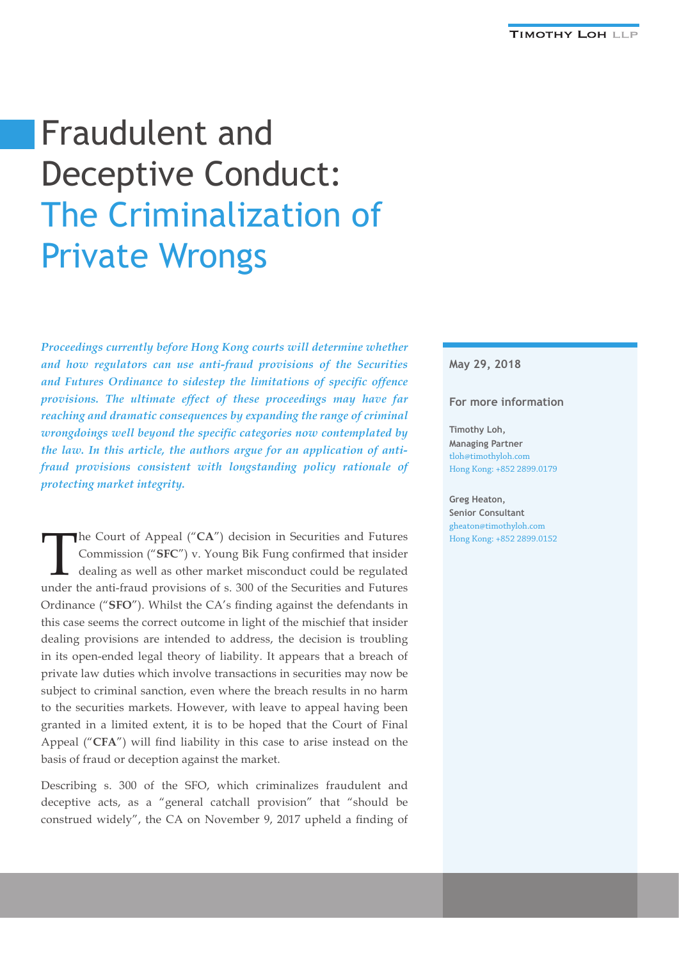# Fraudulent and Deceptive Conduct: The Criminalization of Private Wrongs

*Proceedings currently before Hong Kong courts will determine whether and how regulators can use anti-fraud provisions of the Securities and Futures Ordinance to sidestep the limitations of specific offence provisions. The ultimate effect of these proceedings may have far reaching and dramatic consequences by expanding the range of criminal wrongdoings well beyond the specific categories now contemplated by the law. In this article, the authors argue for an application of antifraud provisions consistent with longstanding policy rationale of protecting market integrity.*

The Court of Appeal ("**CA**") decision in Securities and Futures<br>Commission ("**SFC**") v. Young Bik Fung confirmed that insider<br>dealing as well as other market misconduct could be regulated<br>under the onli front provisions of Commission ("**SFC**") v. Young Bik Fung confirmed that insider dealing as well as other market misconduct could be regulated under the anti-fraud provisions of s. 300 of the Securities and Futures Ordinance ("**SFO**"). Whilst the CA's finding against the defendants in this case seems the correct outcome in light of the mischief that insider dealing provisions are intended to address, the decision is troubling in its open-ended legal theory of liability. It appears that a breach of private law duties which involve transactions in securities may now be subject to criminal sanction, even where the breach results in no harm to the securities markets. However, with leave to appeal having been granted in a limited extent, it is to be hoped that the Court of Final Appeal ("**CFA**") will find liability in this case to arise instead on the basis of fraud or deception against the market.

Describing s. 300 of the SFO, which criminalizes fraudulent and deceptive acts, as a "general catchall provision" that "should be construed widely", the CA on November 9, 2017 upheld a finding of

#### **May 29, 2018**

#### **For more information**

**Timothy Loh, Managing Partner** tloh@timothyloh.com Hong Kong: +852 2899.0179

**Greg Heaton, Senior Consultant** gheaton@timothyloh.com Hong Kong: +852 2899.0152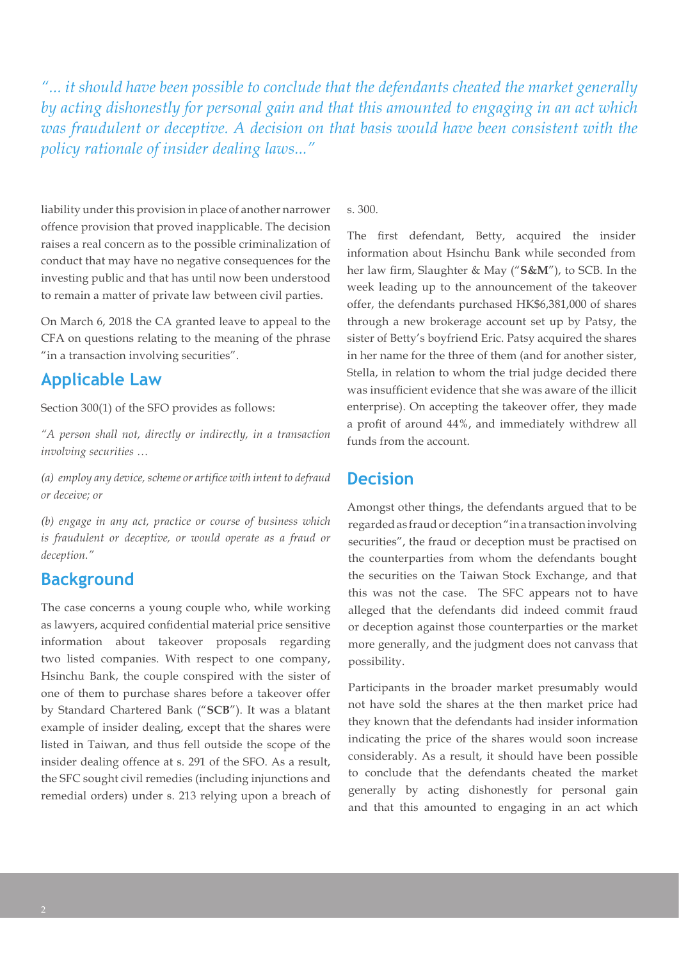*"... it should have been possible to conclude that the defendants cheated the market generally by acting dishonestly for personal gain and that this amounted to engaging in an act which was fraudulent or deceptive. A decision on that basis would have been consistent with the policy rationale of insider dealing laws..."*

liability under this provision in place of another narrower offence provision that proved inapplicable. The decision raises a real concern as to the possible criminalization of conduct that may have no negative consequences for the investing public and that has until now been understood to remain a matter of private law between civil parties.

On March 6, 2018 the CA granted leave to appeal to the CFA on questions relating to the meaning of the phrase "in a transaction involving securities".

# **Applicable Law**

Section 300(1) of the SFO provides as follows:

*"A person shall not, directly or indirectly, in a transaction involving securities …* 

*(a) employ any device, scheme or artifice with intent to defraud or deceive; or* 

*(b) engage in any act, practice or course of business which is fraudulent or deceptive, or would operate as a fraud or deception."*

## **Background**

The case concerns a young couple who, while working as lawyers, acquired confidential material price sensitive information about takeover proposals regarding two listed companies. With respect to one company, Hsinchu Bank, the couple conspired with the sister of one of them to purchase shares before a takeover offer by Standard Chartered Bank ("**SCB**"). It was a blatant example of insider dealing, except that the shares were listed in Taiwan, and thus fell outside the scope of the insider dealing offence at s. 291 of the SFO. As a result, the SFC sought civil remedies (including injunctions and remedial orders) under s. 213 relying upon a breach of s. 300.

The first defendant, Betty, acquired the insider information about Hsinchu Bank while seconded from her law firm, Slaughter & May ("**S&M**"), to SCB. In the week leading up to the announcement of the takeover offer, the defendants purchased HK\$6,381,000 of shares through a new brokerage account set up by Patsy, the sister of Betty's boyfriend Eric. Patsy acquired the shares in her name for the three of them (and for another sister, Stella, in relation to whom the trial judge decided there was insufficient evidence that she was aware of the illicit enterprise). On accepting the takeover offer, they made a profit of around 44%, and immediately withdrew all funds from the account.

### **Decision**

Amongst other things, the defendants argued that to be regarded as fraud or deception "in a transaction involving securities", the fraud or deception must be practised on the counterparties from whom the defendants bought the securities on the Taiwan Stock Exchange, and that this was not the case. The SFC appears not to have alleged that the defendants did indeed commit fraud or deception against those counterparties or the market more generally, and the judgment does not canvass that possibility.

Participants in the broader market presumably would not have sold the shares at the then market price had they known that the defendants had insider information indicating the price of the shares would soon increase considerably. As a result, it should have been possible to conclude that the defendants cheated the market generally by acting dishonestly for personal gain and that this amounted to engaging in an act which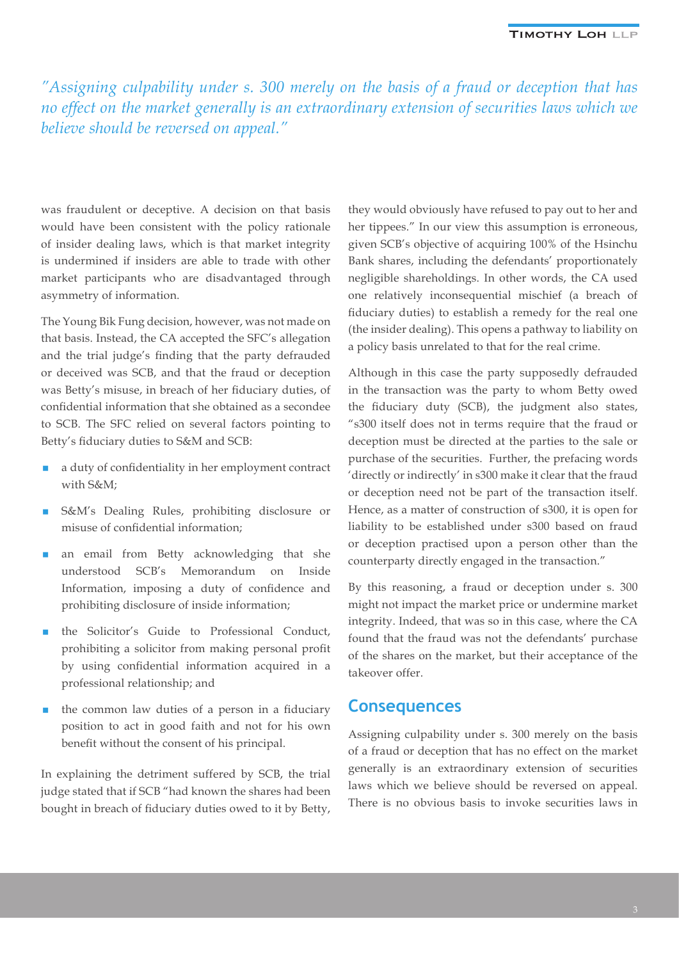*"Assigning culpability under s. 300 merely on the basis of a fraud or deception that has no effect on the market generally is an extraordinary extension of securities laws which we believe should be reversed on appeal."*

was fraudulent or deceptive. A decision on that basis would have been consistent with the policy rationale of insider dealing laws, which is that market integrity is undermined if insiders are able to trade with other market participants who are disadvantaged through asymmetry of information.

The Young Bik Fung decision, however, was not made on that basis. Instead, the CA accepted the SFC's allegation and the trial judge's finding that the party defrauded or deceived was SCB, and that the fraud or deception was Betty's misuse, in breach of her fiduciary duties, of confidential information that she obtained as a secondee to SCB. The SFC relied on several factors pointing to Betty's fiduciary duties to S&M and SCB:

- a duty of confidentiality in her employment contract with S&M;
- S&M's Dealing Rules, prohibiting disclosure or misuse of confidential information;
- an email from Betty acknowledging that she understood SCB's Memorandum on Inside Information, imposing a duty of confidence and prohibiting disclosure of inside information;
- the Solicitor's Guide to Professional Conduct, prohibiting a solicitor from making personal profit by using confidential information acquired in a professional relationship; and
- the common law duties of a person in a fiduciary position to act in good faith and not for his own benefit without the consent of his principal.

In explaining the detriment suffered by SCB, the trial judge stated that if SCB "had known the shares had been bought in breach of fiduciary duties owed to it by Betty, they would obviously have refused to pay out to her and her tippees." In our view this assumption is erroneous, given SCB's objective of acquiring 100% of the Hsinchu Bank shares, including the defendants' proportionately negligible shareholdings. In other words, the CA used one relatively inconsequential mischief (a breach of fiduciary duties) to establish a remedy for the real one (the insider dealing). This opens a pathway to liability on a policy basis unrelated to that for the real crime.

Although in this case the party supposedly defrauded in the transaction was the party to whom Betty owed the fiduciary duty (SCB), the judgment also states, "s300 itself does not in terms require that the fraud or deception must be directed at the parties to the sale or purchase of the securities. Further, the prefacing words 'directly or indirectly' in s300 make it clear that the fraud or deception need not be part of the transaction itself. Hence, as a matter of construction of s300, it is open for liability to be established under s300 based on fraud or deception practised upon a person other than the counterparty directly engaged in the transaction."

By this reasoning, a fraud or deception under s. 300 might not impact the market price or undermine market integrity. Indeed, that was so in this case, where the CA found that the fraud was not the defendants' purchase of the shares on the market, but their acceptance of the takeover offer.

#### **Consequences**

Assigning culpability under s. 300 merely on the basis of a fraud or deception that has no effect on the market generally is an extraordinary extension of securities laws which we believe should be reversed on appeal. There is no obvious basis to invoke securities laws in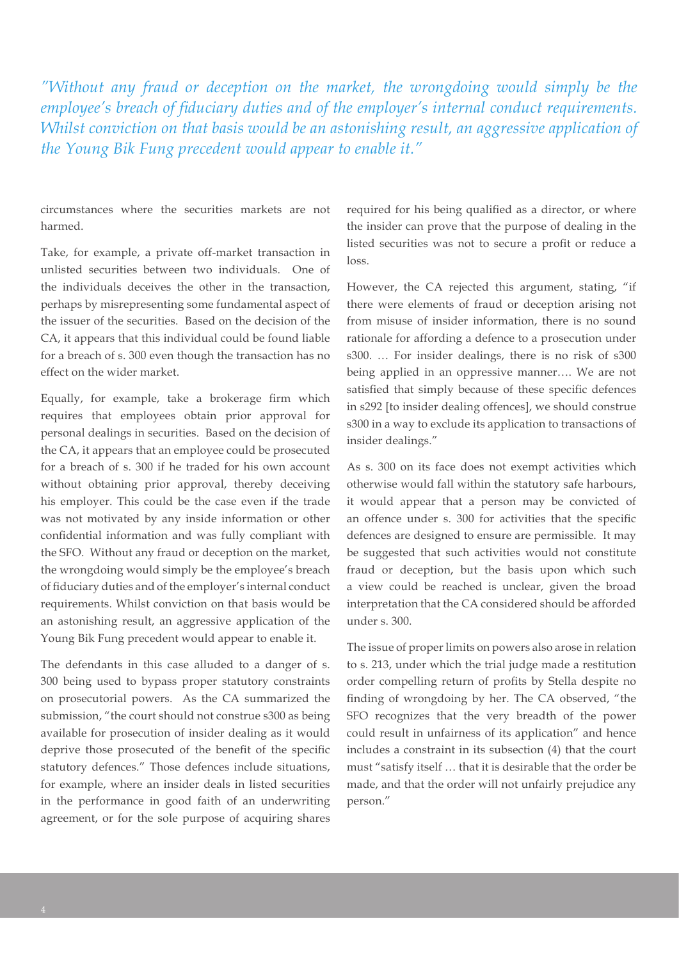*"Without any fraud or deception on the market, the wrongdoing would simply be the employee's breach of fiduciary duties and of the employer's internal conduct requirements. Whilst conviction on that basis would be an astonishing result, an aggressive application of the Young Bik Fung precedent would appear to enable it."*

circumstances where the securities markets are not harmed.

Take, for example, a private off-market transaction in unlisted securities between two individuals. One of the individuals deceives the other in the transaction, perhaps by misrepresenting some fundamental aspect of the issuer of the securities. Based on the decision of the CA, it appears that this individual could be found liable for a breach of s. 300 even though the transaction has no effect on the wider market.

Equally, for example, take a brokerage firm which requires that employees obtain prior approval for personal dealings in securities. Based on the decision of the CA, it appears that an employee could be prosecuted for a breach of s. 300 if he traded for his own account without obtaining prior approval, thereby deceiving his employer. This could be the case even if the trade was not motivated by any inside information or other confidential information and was fully compliant with the SFO. Without any fraud or deception on the market, the wrongdoing would simply be the employee's breach of fiduciary duties and of the employer's internal conduct requirements. Whilst conviction on that basis would be an astonishing result, an aggressive application of the Young Bik Fung precedent would appear to enable it.

The defendants in this case alluded to a danger of s. 300 being used to bypass proper statutory constraints on prosecutorial powers. As the CA summarized the submission, "the court should not construe s300 as being available for prosecution of insider dealing as it would deprive those prosecuted of the benefit of the specific statutory defences." Those defences include situations, for example, where an insider deals in listed securities in the performance in good faith of an underwriting agreement, or for the sole purpose of acquiring shares

required for his being qualified as a director, or where the insider can prove that the purpose of dealing in the listed securities was not to secure a profit or reduce a  $l$ nce

However, the CA rejected this argument, stating, "if there were elements of fraud or deception arising not from misuse of insider information, there is no sound rationale for affording a defence to a prosecution under s300. … For insider dealings, there is no risk of s300 being applied in an oppressive manner…. We are not satisfied that simply because of these specific defences in s292 [to insider dealing offences], we should construe s300 in a way to exclude its application to transactions of insider dealings."

As s. 300 on its face does not exempt activities which otherwise would fall within the statutory safe harbours, it would appear that a person may be convicted of an offence under s. 300 for activities that the specific defences are designed to ensure are permissible. It may be suggested that such activities would not constitute fraud or deception, but the basis upon which such a view could be reached is unclear, given the broad interpretation that the CA considered should be afforded under s. 300.

The issue of proper limits on powers also arose in relation to s. 213, under which the trial judge made a restitution order compelling return of profits by Stella despite no finding of wrongdoing by her. The CA observed, "the SFO recognizes that the very breadth of the power could result in unfairness of its application" and hence includes a constraint in its subsection (4) that the court must "satisfy itself … that it is desirable that the order be made, and that the order will not unfairly prejudice any person."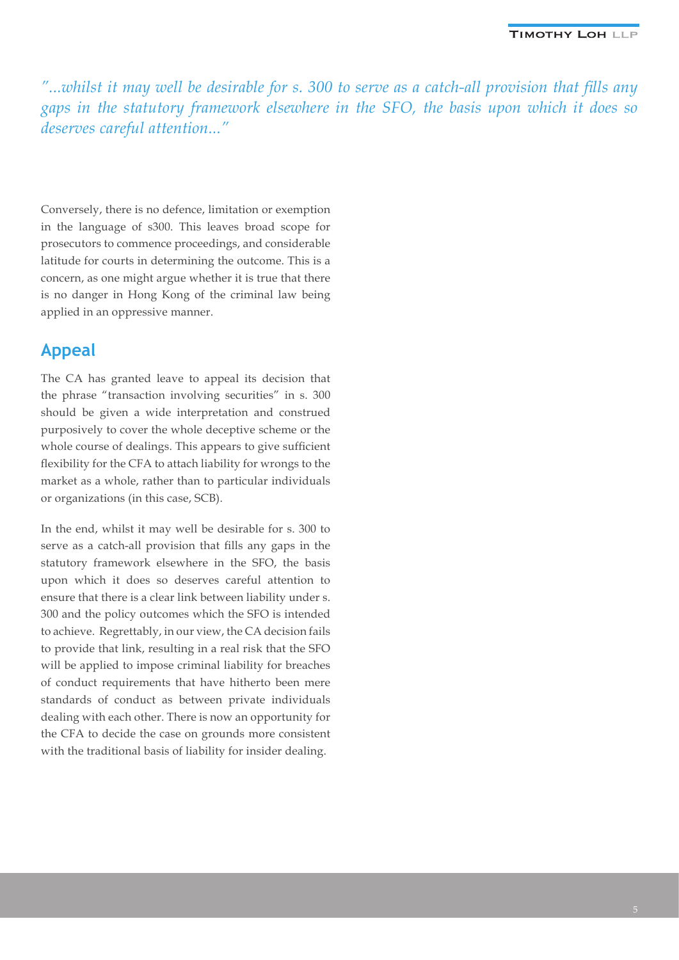*"...whilst it may well be desirable for s. 300 to serve as a catch-all provision that fills any gaps in the statutory framework elsewhere in the SFO, the basis upon which it does so deserves careful attention..."*

Conversely, there is no defence, limitation or exemption in the language of s300. This leaves broad scope for prosecutors to commence proceedings, and considerable latitude for courts in determining the outcome. This is a concern, as one might argue whether it is true that there is no danger in Hong Kong of the criminal law being applied in an oppressive manner.

# **Appeal**

The CA has granted leave to appeal its decision that the phrase "transaction involving securities" in s. 300 should be given a wide interpretation and construed purposively to cover the whole deceptive scheme or the whole course of dealings. This appears to give sufficient flexibility for the CFA to attach liability for wrongs to the market as a whole, rather than to particular individuals or organizations (in this case, SCB).

In the end, whilst it may well be desirable for s. 300 to serve as a catch-all provision that fills any gaps in the statutory framework elsewhere in the SFO, the basis upon which it does so deserves careful attention to ensure that there is a clear link between liability under s. 300 and the policy outcomes which the SFO is intended to achieve. Regrettably, in our view, the CA decision fails to provide that link, resulting in a real risk that the SFO will be applied to impose criminal liability for breaches of conduct requirements that have hitherto been mere standards of conduct as between private individuals dealing with each other. There is now an opportunity for the CFA to decide the case on grounds more consistent with the traditional basis of liability for insider dealing.